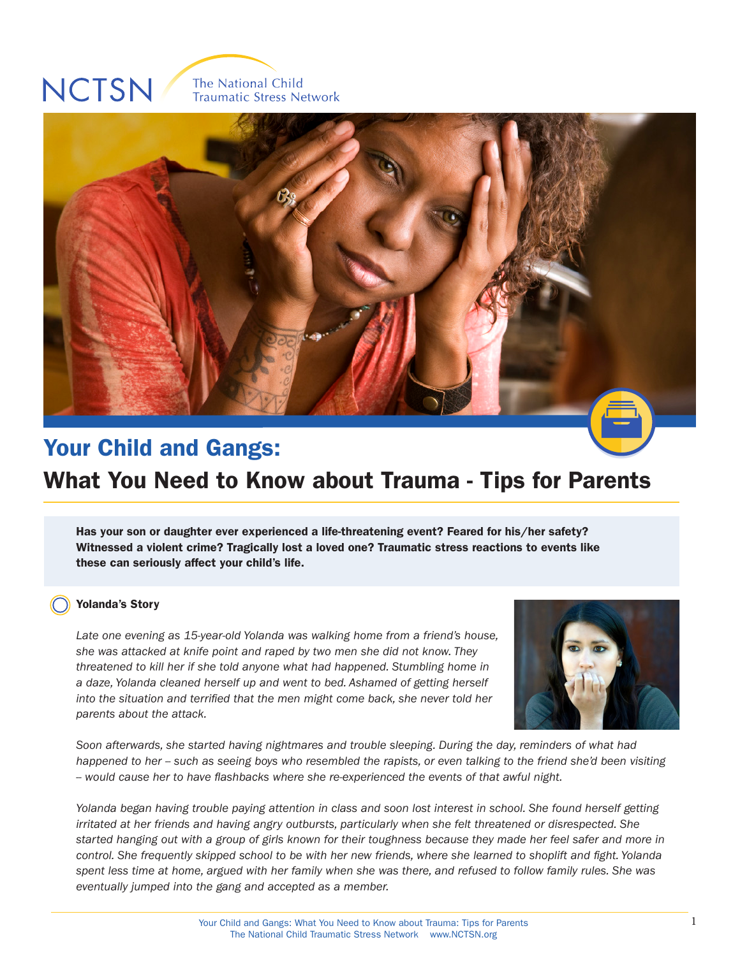# **NCTSN**

The National Child **Traumatic Stress Network** 



# Your Child and Gangs:  $\sim$  44,  $\pm$ What You Need to Know about Trauma - Tips for Parents

Has your son or daughter ever experienced a life-threatening event? Feared for his/her safety?  $R_{\rm max}$   $2T_{\rm max}$ Witnessed a violent crime? Tragically lost a loved one? Traumatic stress reactions to events like these can seriously affect your child's life.

#### Yolanda's Story

*Late one evening as 15-year-old Yolanda was walking home from a friend's house, she was attacked at knife point and raped by two men she did not know. They threatened to kill her if she told anyone what had happened. Stumbling home in a daze, Yolanda cleaned herself up and went to bed. Ashamed of getting herself into the situation and terrified that the men might come back, she never told her parents about the attack.*



*Soon afterwards, she started having nightmares and trouble sleeping. During the day, reminders of what had*  happened to her -- such as seeing boys who resembled the rapists, or even talking to the friend she'd been visiting *-- would cause her to have flashbacks where she re-experienced the events of that awful night.*

*Yolanda began having trouble paying attention in class and soon lost interest in school. She found herself getting irritated at her friends and having angry outbursts, particularly when she felt threatened or disrespected. She started hanging out with a group of girls known for their toughness because they made her feel safer and more in control. She frequently skipped school to be with her new friends, where she learned to shoplift and fight. Yolanda spent less time at home, argued with her family when she was there, and refused to follow family rules. She was eventually jumped into the gang and accepted as a member.*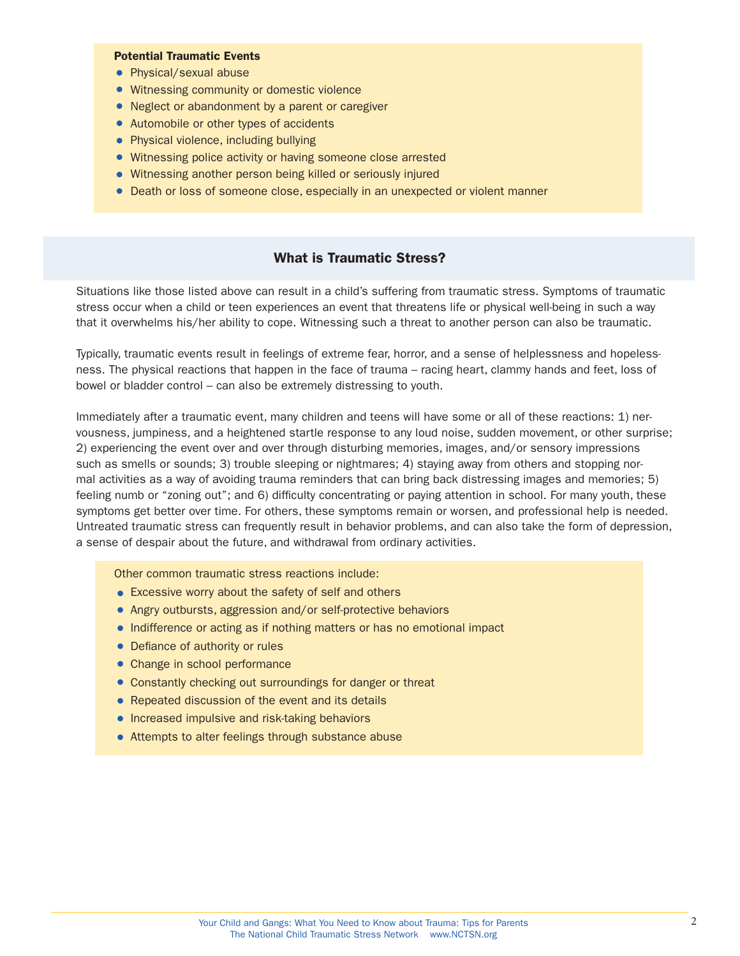#### Potential Traumatic Events

- Physical/sexual abuse
- Witnessing community or domestic violence
- Neglect or abandonment by a parent or caregiver
- Automobile or other types of accidents
- Physical violence, including bullying
- Witnessing police activity or having someone close arrested
- Witnessing another person being killed or seriously injured
- Death or loss of someone close, especially in an unexpected or violent manner

#### What is Traumatic Stress?

Situations like those listed above can result in a child's suffering from traumatic stress. Symptoms of traumatic stress occur when a child or teen experiences an event that threatens life or physical well-being in such a way that it overwhelms his/her ability to cope. Witnessing such a threat to another person can also be traumatic.

Typically, traumatic events result in feelings of extreme fear, horror, and a sense of helplessness and hopelessness. The physical reactions that happen in the face of trauma – racing heart, clammy hands and feet, loss of bowel or bladder control – can also be extremely distressing to youth.

Immediately after a traumatic event, many children and teens will have some or all of these reactions: 1) nervousness, jumpiness, and a heightened startle response to any loud noise, sudden movement, or other surprise; 2) experiencing the event over and over through disturbing memories, images, and/or sensory impressions such as smells or sounds; 3) trouble sleeping or nightmares; 4) staying away from others and stopping normal activities as a way of avoiding trauma reminders that can bring back distressing images and memories; 5) feeling numb or "zoning out"; and 6) difficulty concentrating or paying attention in school. For many youth, these symptoms get better over time. For others, these symptoms remain or worsen, and professional help is needed. Untreated traumatic stress can frequently result in behavior problems, and can also take the form of depression, a sense of despair about the future, and withdrawal from ordinary activities.

Other common traumatic stress reactions include:

- Excessive worry about the safety of self and others
- Angry outbursts, aggression and/or self-protective behaviors
- Indifference or acting as if nothing matters or has no emotional impact
- Defiance of authority or rules
- Change in school performance
- Constantly checking out surroundings for danger or threat
- Repeated discussion of the event and its details
- **•** Increased impulsive and risk-taking behaviors
- Attempts to alter feelings through substance abuse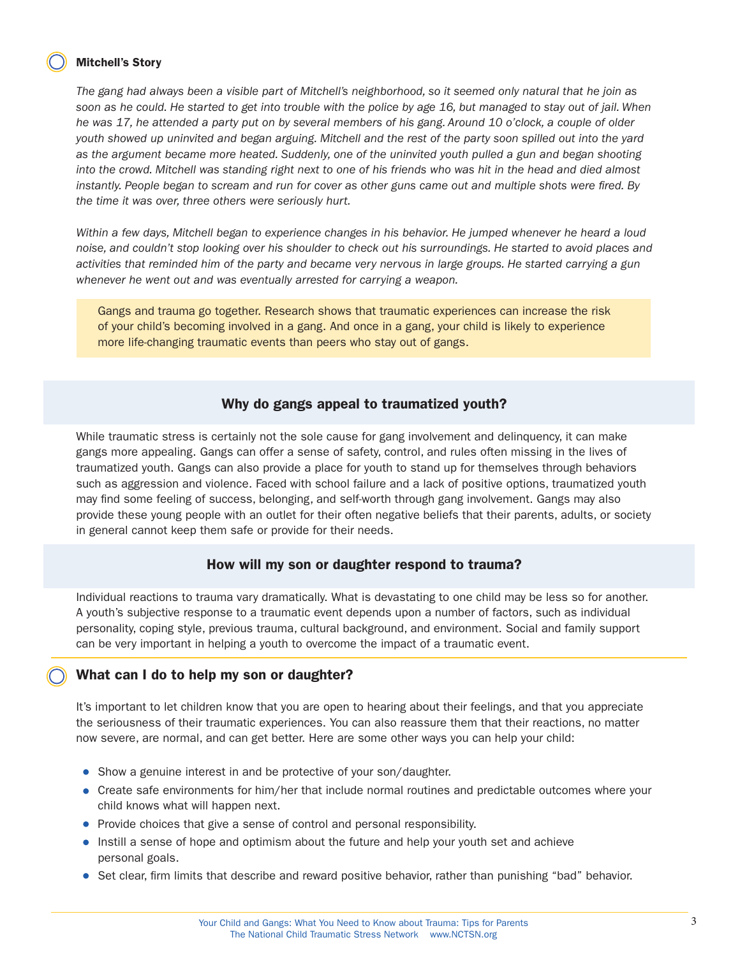#### Mitchell's Story

*The gang had always been a visible part of Mitchell's neighborhood, so it seemed only natural that he join as soon as he could. He started to get into trouble with the police by age 16, but managed to stay out of jail. When he was 17, he attended a party put on by several members of his gang. Around 10 o'clock, a couple of older youth showed up uninvited and began arguing. Mitchell and the rest of the party soon spilled out into the yard as the argument became more heated. Suddenly, one of the uninvited youth pulled a gun and began shooting into the crowd. Mitchell was standing right next to one of his friends who was hit in the head and died almost instantly. People began to scream and run for cover as other guns came out and multiple shots were fired. By the time it was over, three others were seriously hurt.*

*Within a few days, Mitchell began to experience changes in his behavior. He jumped whenever he heard a loud*  noise, and couldn't stop looking over his shoulder to check out his surroundings. He started to avoid places and *activities that reminded him of the party and became very nervous in large groups. He started carrying a gun whenever he went out and was eventually arrested for carrying a weapon.*

Gangs and trauma go together. Research shows that traumatic experiences can increase the risk of your child's becoming involved in a gang. And once in a gang, your child is likely to experience more life-changing traumatic events than peers who stay out of gangs.

#### Why do gangs appeal to traumatized youth?

While traumatic stress is certainly not the sole cause for gang involvement and delinquency, it can make gangs more appealing. Gangs can offer a sense of safety, control, and rules often missing in the lives of traumatized youth. Gangs can also provide a place for youth to stand up for themselves through behaviors such as aggression and violence. Faced with school failure and a lack of positive options, traumatized youth may find some feeling of success, belonging, and self-worth through gang involvement. Gangs may also provide these young people with an outlet for their often negative beliefs that their parents, adults, or society in general cannot keep them safe or provide for their needs.

## How will my son or daughter respond to trauma?

Individual reactions to trauma vary dramatically. What is devastating to one child may be less so for another. A youth's subjective response to a traumatic event depends upon a number of factors, such as individual personality, coping style, previous trauma, cultural background, and environment. Social and family support can be very important in helping a youth to overcome the impact of a traumatic event.

#### What can I do to help my son or daughter?

It's important to let children know that you are open to hearing about their feelings, and that you appreciate the seriousness of their traumatic experiences. You can also reassure them that their reactions, no matter now severe, are normal, and can get better. Here are some other ways you can help your child:

- Show a genuine interest in and be protective of your son/daughter.
- Create safe environments for him/her that include normal routines and predictable outcomes where your child knows what will happen next.
- Provide choices that give a sense of control and personal responsibility.
- Instill a sense of hope and optimism about the future and help your youth set and achieve personal goals.
- Set clear, firm limits that describe and reward positive behavior, rather than punishing "bad" behavior.